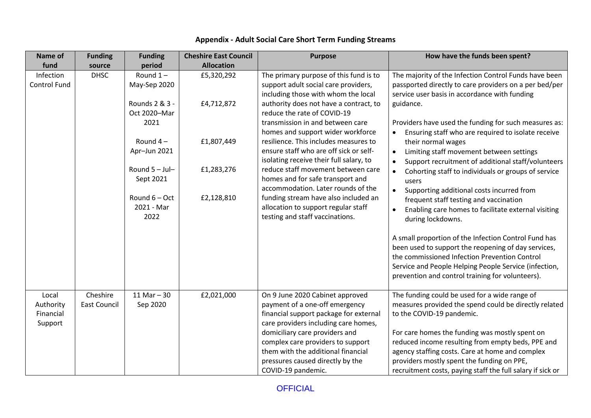| Name of                                    | <b>Funding</b>                  | <b>Funding</b>                         | <b>Cheshire East Council</b> | <b>Purpose</b>                                                                                                                                                                        | How have the funds been spent?                                                                                                                                                                                                                                            |
|--------------------------------------------|---------------------------------|----------------------------------------|------------------------------|---------------------------------------------------------------------------------------------------------------------------------------------------------------------------------------|---------------------------------------------------------------------------------------------------------------------------------------------------------------------------------------------------------------------------------------------------------------------------|
| fund                                       | source                          | period                                 | <b>Allocation</b>            |                                                                                                                                                                                       |                                                                                                                                                                                                                                                                           |
| Infection<br><b>Control Fund</b>           | <b>DHSC</b>                     | Round $1 -$<br>May-Sep 2020            | £5,320,292                   | The primary purpose of this fund is to<br>support adult social care providers,<br>including those with whom the local                                                                 | The majority of the Infection Control Funds have been<br>passported directly to care providers on a per bed/per<br>service user basis in accordance with funding                                                                                                          |
|                                            |                                 | Rounds 2 & 3 -<br>Oct 2020-Mar<br>2021 | £4,712,872                   | authority does not have a contract, to<br>reduce the rate of COVID-19<br>transmission in and between care<br>homes and support wider workforce                                        | guidance.<br>Providers have used the funding for such measures as:<br>Ensuring staff who are required to isolate receive<br>$\bullet$                                                                                                                                     |
|                                            |                                 | Round $4-$<br>Apr-Jun 2021             | £1,807,449                   | resilience. This includes measures to<br>ensure staff who are off sick or self-<br>isolating receive their full salary, to                                                            | their normal wages<br>Limiting staff movement between settings<br>$\bullet$<br>Support recruitment of additional staff/volunteers<br>$\bullet$                                                                                                                            |
|                                            |                                 | Round $5 -$ Jul-<br>Sept 2021          | £1,283,276                   | reduce staff movement between care<br>homes and for safe transport and<br>accommodation. Later rounds of the                                                                          | Cohorting staff to individuals or groups of service<br>$\bullet$<br>users<br>Supporting additional costs incurred from                                                                                                                                                    |
|                                            |                                 | Round $6 - Oct$<br>2021 - Mar<br>2022  | £2,128,810                   | funding stream have also included an<br>allocation to support regular staff<br>testing and staff vaccinations.                                                                        | frequent staff testing and vaccination<br>Enabling care homes to facilitate external visiting<br>during lockdowns.                                                                                                                                                        |
|                                            |                                 |                                        |                              |                                                                                                                                                                                       | A small proportion of the Infection Control Fund has<br>been used to support the reopening of day services,<br>the commissioned Infection Prevention Control<br>Service and People Helping People Service (infection,<br>prevention and control training for volunteers). |
| Local<br>Authority<br>Financial<br>Support | Cheshire<br><b>East Council</b> | 11 Mar $-30$<br>Sep 2020               | £2,021,000                   | On 9 June 2020 Cabinet approved<br>payment of a one-off emergency<br>financial support package for external<br>care providers including care homes,<br>domiciliary care providers and | The funding could be used for a wide range of<br>measures provided the spend could be directly related<br>to the COVID-19 pandemic.<br>For care homes the funding was mostly spent on                                                                                     |
|                                            |                                 |                                        |                              | complex care providers to support<br>them with the additional financial<br>pressures caused directly by the<br>COVID-19 pandemic.                                                     | reduced income resulting from empty beds, PPE and<br>agency staffing costs. Care at home and complex<br>providers mostly spent the funding on PPE,<br>recruitment costs, paying staff the full salary if sick or                                                          |

## **Appendix - Adult Social Care Short Term Funding Streams**

**OFFICIAL**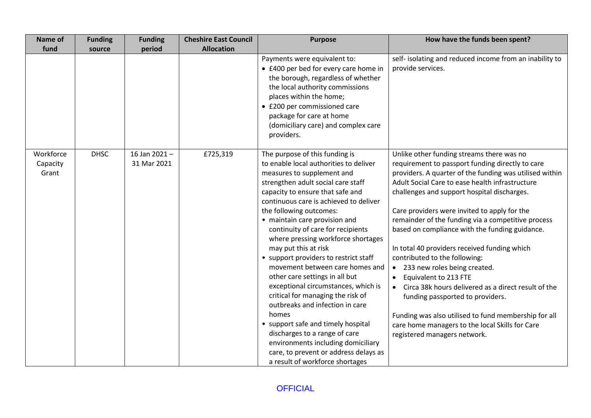| Name of                        | <b>Funding</b> | <b>Funding</b>              | <b>Cheshire East Council</b> | <b>Purpose</b>                                                                                                                                                                                                                                                                                                                                                                                                                                                                                                                                                                                                                                                                                                                                                                                                           | How have the funds been spent?                                                                                                                                                                                                                                                                                                                                                                                                                                                                                                                                                                                                                                                                                                                                                                                  |
|--------------------------------|----------------|-----------------------------|------------------------------|--------------------------------------------------------------------------------------------------------------------------------------------------------------------------------------------------------------------------------------------------------------------------------------------------------------------------------------------------------------------------------------------------------------------------------------------------------------------------------------------------------------------------------------------------------------------------------------------------------------------------------------------------------------------------------------------------------------------------------------------------------------------------------------------------------------------------|-----------------------------------------------------------------------------------------------------------------------------------------------------------------------------------------------------------------------------------------------------------------------------------------------------------------------------------------------------------------------------------------------------------------------------------------------------------------------------------------------------------------------------------------------------------------------------------------------------------------------------------------------------------------------------------------------------------------------------------------------------------------------------------------------------------------|
| fund                           | source         | period                      | <b>Allocation</b>            |                                                                                                                                                                                                                                                                                                                                                                                                                                                                                                                                                                                                                                                                                                                                                                                                                          |                                                                                                                                                                                                                                                                                                                                                                                                                                                                                                                                                                                                                                                                                                                                                                                                                 |
|                                |                |                             |                              | Payments were equivalent to:<br>• £400 per bed for every care home in<br>the borough, regardless of whether<br>the local authority commissions<br>places within the home;<br>• £200 per commissioned care<br>package for care at home<br>(domiciliary care) and complex care<br>providers.                                                                                                                                                                                                                                                                                                                                                                                                                                                                                                                               | self- isolating and reduced income from an inability to<br>provide services.                                                                                                                                                                                                                                                                                                                                                                                                                                                                                                                                                                                                                                                                                                                                    |
| Workforce<br>Capacity<br>Grant | <b>DHSC</b>    | 16 Jan 2021-<br>31 Mar 2021 | £725,319                     | The purpose of this funding is<br>to enable local authorities to deliver<br>measures to supplement and<br>strengthen adult social care staff<br>capacity to ensure that safe and<br>continuous care is achieved to deliver<br>the following outcomes:<br>• maintain care provision and<br>continuity of care for recipients<br>where pressing workforce shortages<br>may put this at risk<br>• support providers to restrict staff<br>movement between care homes and<br>other care settings in all but<br>exceptional circumstances, which is<br>critical for managing the risk of<br>outbreaks and infection in care<br>homes<br>• support safe and timely hospital<br>discharges to a range of care<br>environments including domiciliary<br>care, to prevent or address delays as<br>a result of workforce shortages | Unlike other funding streams there was no<br>requirement to passport funding directly to care<br>providers. A quarter of the funding was utilised within<br>Adult Social Care to ease health infrastructure<br>challenges and support hospital discharges.<br>Care providers were invited to apply for the<br>remainder of the funding via a competitive process<br>based on compliance with the funding guidance.<br>In total 40 providers received funding which<br>contributed to the following:<br>233 new roles being created.<br>$\bullet$<br>Equivalent to 213 FTE<br>Circa 38k hours delivered as a direct result of the<br>funding passported to providers.<br>Funding was also utilised to fund membership for all<br>care home managers to the local Skills for Care<br>registered managers network. |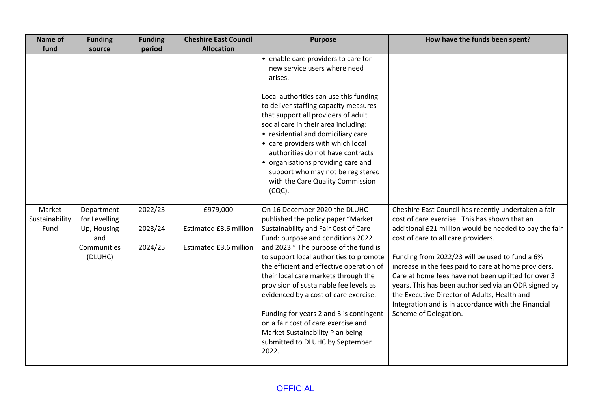| Name of                          | <b>Funding</b>                                                              | <b>Funding</b>                | <b>Cheshire East Council</b>                                 | <b>Purpose</b>                                                                                                                                                                                                                                                                                                                                                                                                                                                                                                                                                                | How have the funds been spent?                                                                                                                                                                                                                                                                                                                                                                                                                                                                                                                                  |
|----------------------------------|-----------------------------------------------------------------------------|-------------------------------|--------------------------------------------------------------|-------------------------------------------------------------------------------------------------------------------------------------------------------------------------------------------------------------------------------------------------------------------------------------------------------------------------------------------------------------------------------------------------------------------------------------------------------------------------------------------------------------------------------------------------------------------------------|-----------------------------------------------------------------------------------------------------------------------------------------------------------------------------------------------------------------------------------------------------------------------------------------------------------------------------------------------------------------------------------------------------------------------------------------------------------------------------------------------------------------------------------------------------------------|
| fund                             | source                                                                      | period                        | <b>Allocation</b>                                            |                                                                                                                                                                                                                                                                                                                                                                                                                                                                                                                                                                               |                                                                                                                                                                                                                                                                                                                                                                                                                                                                                                                                                                 |
|                                  |                                                                             |                               |                                                              | • enable care providers to care for<br>new service users where need<br>arises.<br>Local authorities can use this funding<br>to deliver staffing capacity measures<br>that support all providers of adult<br>social care in their area including:                                                                                                                                                                                                                                                                                                                              |                                                                                                                                                                                                                                                                                                                                                                                                                                                                                                                                                                 |
|                                  |                                                                             |                               |                                                              | • residential and domiciliary care<br>• care providers with which local<br>authorities do not have contracts<br>• organisations providing care and<br>support who may not be registered<br>with the Care Quality Commission<br>$(CQC)$ .                                                                                                                                                                                                                                                                                                                                      |                                                                                                                                                                                                                                                                                                                                                                                                                                                                                                                                                                 |
| Market<br>Sustainability<br>Fund | Department<br>for Levelling<br>Up, Housing<br>and<br>Communities<br>(DLUHC) | 2022/23<br>2023/24<br>2024/25 | £979,000<br>Estimated £3.6 million<br>Estimated £3.6 million | On 16 December 2020 the DLUHC<br>published the policy paper "Market<br>Sustainability and Fair Cost of Care<br>Fund: purpose and conditions 2022<br>and 2023." The purpose of the fund is<br>to support local authorities to promote<br>the efficient and effective operation of<br>their local care markets through the<br>provision of sustainable fee levels as<br>evidenced by a cost of care exercise.<br>Funding for years 2 and 3 is contingent<br>on a fair cost of care exercise and<br>Market Sustainability Plan being<br>submitted to DLUHC by September<br>2022. | Cheshire East Council has recently undertaken a fair<br>cost of care exercise. This has shown that an<br>additional £21 million would be needed to pay the fair<br>cost of care to all care providers.<br>Funding from 2022/23 will be used to fund a 6%<br>increase in the fees paid to care at home providers.<br>Care at home fees have not been uplifted for over 3<br>years. This has been authorised via an ODR signed by<br>the Executive Director of Adults, Health and<br>Integration and is in accordance with the Financial<br>Scheme of Delegation. |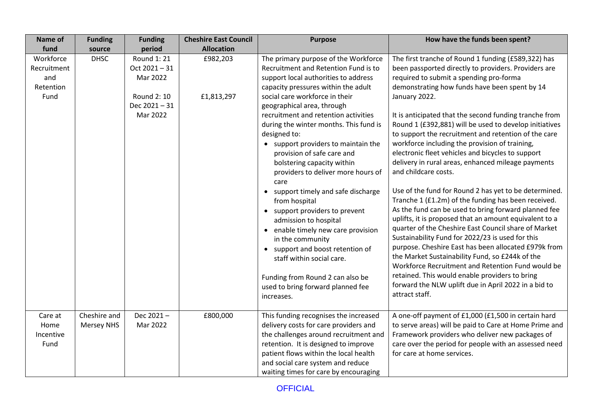| Name of                                              | <b>Funding</b>                    | <b>Funding</b>                                                                   | <b>Cheshire East Council</b> | <b>Purpose</b>                                                                                                                                                                                                                                                                                                                                                                                                                                                                                                                 | How have the funds been spent?                                                                                                                                                                                                                                                                                                                                                                                                                                                                                                                                                                                                                     |
|------------------------------------------------------|-----------------------------------|----------------------------------------------------------------------------------|------------------------------|--------------------------------------------------------------------------------------------------------------------------------------------------------------------------------------------------------------------------------------------------------------------------------------------------------------------------------------------------------------------------------------------------------------------------------------------------------------------------------------------------------------------------------|----------------------------------------------------------------------------------------------------------------------------------------------------------------------------------------------------------------------------------------------------------------------------------------------------------------------------------------------------------------------------------------------------------------------------------------------------------------------------------------------------------------------------------------------------------------------------------------------------------------------------------------------------|
| fund                                                 | source                            | period                                                                           | <b>Allocation</b>            |                                                                                                                                                                                                                                                                                                                                                                                                                                                                                                                                |                                                                                                                                                                                                                                                                                                                                                                                                                                                                                                                                                                                                                                                    |
| Workforce<br>Recruitment<br>and<br>Retention<br>Fund | <b>DHSC</b>                       | Round 1: 21<br>Oct 2021-31<br>Mar 2022<br>Round 2: 10<br>Dec 2021-31<br>Mar 2022 | £982,203<br>£1,813,297       | The primary purpose of the Workforce<br>Recruitment and Retention Fund is to<br>support local authorities to address<br>capacity pressures within the adult<br>social care workforce in their<br>geographical area, through<br>recruitment and retention activities<br>during the winter months. This fund is<br>designed to:<br>support providers to maintain the<br>$\bullet$<br>provision of safe care and<br>bolstering capacity within<br>providers to deliver more hours of<br>care<br>support timely and safe discharge | The first tranche of Round 1 funding (£589,322) has<br>been passported directly to providers. Providers are<br>required to submit a spending pro-forma<br>demonstrating how funds have been spent by 14<br>January 2022.<br>It is anticipated that the second funding tranche from<br>Round 1 (£392,881) will be used to develop initiatives<br>to support the recruitment and retention of the care<br>workforce including the provision of training,<br>electronic fleet vehicles and bicycles to support<br>delivery in rural areas, enhanced mileage payments<br>and childcare costs.<br>Use of the fund for Round 2 has yet to be determined. |
|                                                      |                                   |                                                                                  |                              | from hospital<br>support providers to prevent<br>$\bullet$<br>admission to hospital<br>enable timely new care provision<br>$\bullet$<br>in the community<br>support and boost retention of<br>$\bullet$<br>staff within social care.<br>Funding from Round 2 can also be<br>used to bring forward planned fee<br>increases.                                                                                                                                                                                                    | Tranche 1 (£1.2m) of the funding has been received.<br>As the fund can be used to bring forward planned fee<br>uplifts, it is proposed that an amount equivalent to a<br>quarter of the Cheshire East Council share of Market<br>Sustainability Fund for 2022/23 is used for this<br>purpose. Cheshire East has been allocated £979k from<br>the Market Sustainability Fund, so £244k of the<br>Workforce Recruitment and Retention Fund would be<br>retained. This would enable providers to bring<br>forward the NLW uplift due in April 2022 in a bid to<br>attract staff.                                                                      |
| Care at<br>Home<br>Incentive<br>Fund                 | Cheshire and<br><b>Mersey NHS</b> | Dec 2021-<br>Mar 2022                                                            | £800,000                     | This funding recognises the increased<br>delivery costs for care providers and<br>the challenges around recruitment and<br>retention. It is designed to improve<br>patient flows within the local health<br>and social care system and reduce<br>waiting times for care by encouraging                                                                                                                                                                                                                                         | A one-off payment of £1,000 (£1,500 in certain hard<br>to serve areas) will be paid to Care at Home Prime and<br>Framework providers who deliver new packages of<br>care over the period for people with an assessed need<br>for care at home services.                                                                                                                                                                                                                                                                                                                                                                                            |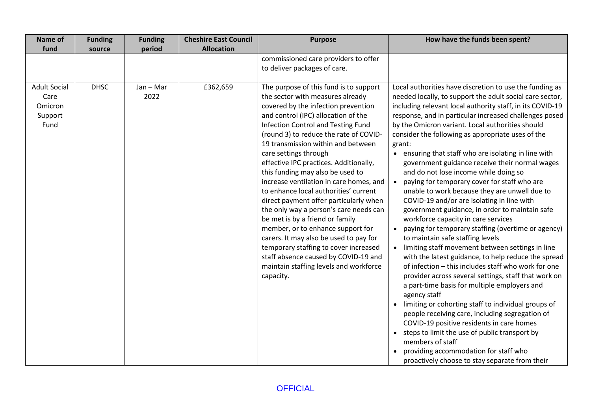| Name of                                                   | <b>Funding</b> | <b>Funding</b>    | <b>Cheshire East Council</b> | <b>Purpose</b>                                                                                                                                                                                                                                                                                                                                                                                                                                                                                                                                                                                                                                                                                                                                                                                                          | How have the funds been spent?                                                                                                                                                                                                                                                                                                                                                                                                                                                                                                                                                                                                                                                                                                                                                                                                                                                                                                                                                                                                                                                                                                                                                                                                                                                                                                                                                                                                                                                                    |
|-----------------------------------------------------------|----------------|-------------------|------------------------------|-------------------------------------------------------------------------------------------------------------------------------------------------------------------------------------------------------------------------------------------------------------------------------------------------------------------------------------------------------------------------------------------------------------------------------------------------------------------------------------------------------------------------------------------------------------------------------------------------------------------------------------------------------------------------------------------------------------------------------------------------------------------------------------------------------------------------|---------------------------------------------------------------------------------------------------------------------------------------------------------------------------------------------------------------------------------------------------------------------------------------------------------------------------------------------------------------------------------------------------------------------------------------------------------------------------------------------------------------------------------------------------------------------------------------------------------------------------------------------------------------------------------------------------------------------------------------------------------------------------------------------------------------------------------------------------------------------------------------------------------------------------------------------------------------------------------------------------------------------------------------------------------------------------------------------------------------------------------------------------------------------------------------------------------------------------------------------------------------------------------------------------------------------------------------------------------------------------------------------------------------------------------------------------------------------------------------------------|
| fund                                                      | source         | period            | <b>Allocation</b>            |                                                                                                                                                                                                                                                                                                                                                                                                                                                                                                                                                                                                                                                                                                                                                                                                                         |                                                                                                                                                                                                                                                                                                                                                                                                                                                                                                                                                                                                                                                                                                                                                                                                                                                                                                                                                                                                                                                                                                                                                                                                                                                                                                                                                                                                                                                                                                   |
|                                                           |                |                   |                              | commissioned care providers to offer                                                                                                                                                                                                                                                                                                                                                                                                                                                                                                                                                                                                                                                                                                                                                                                    |                                                                                                                                                                                                                                                                                                                                                                                                                                                                                                                                                                                                                                                                                                                                                                                                                                                                                                                                                                                                                                                                                                                                                                                                                                                                                                                                                                                                                                                                                                   |
|                                                           |                |                   |                              | to deliver packages of care.                                                                                                                                                                                                                                                                                                                                                                                                                                                                                                                                                                                                                                                                                                                                                                                            |                                                                                                                                                                                                                                                                                                                                                                                                                                                                                                                                                                                                                                                                                                                                                                                                                                                                                                                                                                                                                                                                                                                                                                                                                                                                                                                                                                                                                                                                                                   |
| <b>Adult Social</b><br>Care<br>Omicron<br>Support<br>Fund | <b>DHSC</b>    | Jan - Mar<br>2022 | £362,659                     | The purpose of this fund is to support<br>the sector with measures already<br>covered by the infection prevention<br>and control (IPC) allocation of the<br>Infection Control and Testing Fund<br>(round 3) to reduce the rate of COVID-<br>19 transmission within and between<br>care settings through<br>effective IPC practices. Additionally,<br>this funding may also be used to<br>increase ventilation in care homes, and<br>to enhance local authorities' current<br>direct payment offer particularly when<br>the only way a person's care needs can<br>be met is by a friend or family<br>member, or to enhance support for<br>carers. It may also be used to pay for<br>temporary staffing to cover increased<br>staff absence caused by COVID-19 and<br>maintain staffing levels and workforce<br>capacity. | Local authorities have discretion to use the funding as<br>needed locally, to support the adult social care sector,<br>including relevant local authority staff, in its COVID-19<br>response, and in particular increased challenges posed<br>by the Omicron variant. Local authorities should<br>consider the following as appropriate uses of the<br>grant:<br>• ensuring that staff who are isolating in line with<br>government guidance receive their normal wages<br>and do not lose income while doing so<br>paying for temporary cover for staff who are<br>$\bullet$<br>unable to work because they are unwell due to<br>COVID-19 and/or are isolating in line with<br>government guidance, in order to maintain safe<br>workforce capacity in care services<br>paying for temporary staffing (overtime or agency)<br>to maintain safe staffing levels<br>• limiting staff movement between settings in line<br>with the latest guidance, to help reduce the spread<br>of infection - this includes staff who work for one<br>provider across several settings, staff that work on<br>a part-time basis for multiple employers and<br>agency staff<br>limiting or cohorting staff to individual groups of<br>$\bullet$<br>people receiving care, including segregation of<br>COVID-19 positive residents in care homes<br>• steps to limit the use of public transport by<br>members of staff<br>providing accommodation for staff who<br>proactively choose to stay separate from their |